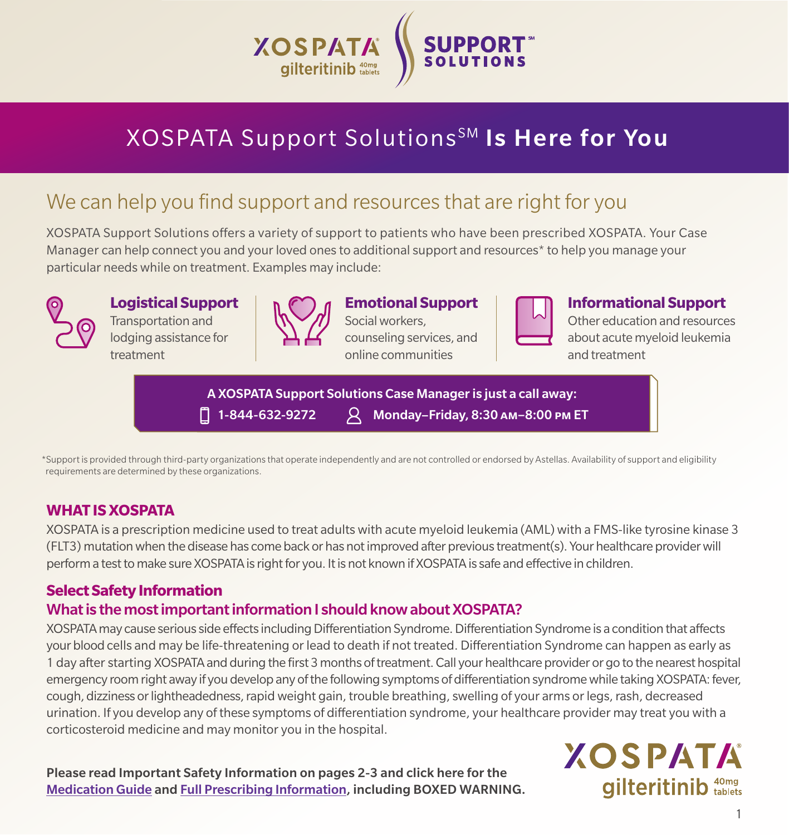

# XOSPATA Support Solutions<sup>SM</sup> Is Here for You

## We can help you find support and resources that are right for you

XOSPATA Support Solutions offers a variety of support to patients who have been prescribed XOSPATA. Your Case Manager can help connect you and your loved ones to additional support and resources\* to help you manage your particular needs while on treatment. Examples may include:



**Logistical Support** Transportation and lodging assistance for treatment

## **Emotional Support**

Social workers, counseling services, and online communities



**Informational Support**

Other education and resources about acute myeloid leukemia and treatment

A XOSPATA Support Solutions Case Manager is just a call away: 1-844-632-9272 Monday–Friday, 8:30 am–8:00 pm ET

\*Support is provided through third-party organizations that operate independently and are not controlled or endorsed by Astellas. Availability of support and eligibility requirements are determined by these organizations.

#### **WHAT IS XOSPATA**

XOSPATA is a prescription medicine used to treat adults with acute myeloid leukemia (AML) with a FMS-like tyrosine kinase 3 (FLT3) mutation when the disease has come back or has not improved after previous treatment(s). Your healthcare provider will perform a test to make sure XOSPATA is right for you. It is not known if XOSPATA is safe and effective in children.

### **Select Safety Information**

#### What is the most important information I should know about XOSPATA?

XOSPATA may cause serious side effects including Differentiation Syndrome. Differentiation Syndrome is a condition that affects your blood cells and may be life-threatening or lead to death if not treated. Differentiation Syndrome can happen as early as 1 day after starting XOSPATA and during the first 3 months of treatment. Call your healthcare provider or go to the nearest hospital emergency room right away if you develop any of the following symptoms of differentiation syndrome while taking XOSPATA: fever, cough, dizziness or lightheadedness, rapid weight gain, trouble breathing, swelling of your arms or legs, rash, decreased urination. If you develop any of these symptoms of differentiation syndrome, your healthcare provider may treat you with a corticosteroid medicine and may monitor you in the hospital.

Please read Important Safety Information on pages 2-3 and click here for the [Medication Guide](https://astellas.us/docs/Xospata_U.S.MedicationGuide(PatientInformation).pdf) and [Full Prescribing Information,](https://astellas.us/docs/xospata.pdf) including BOXED WARNING. **XOSPATA** gilteritinib 40mg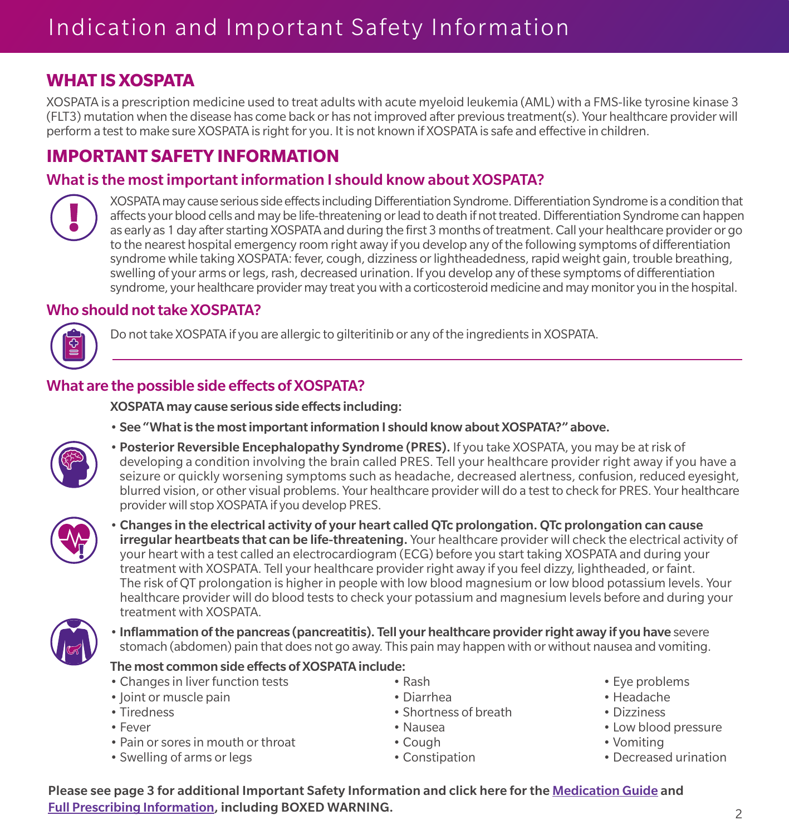### **WHAT IS XOSPATA**

XOSPATA is a prescription medicine used to treat adults with acute myeloid leukemia (AML) with a FMS-like tyrosine kinase 3 (FLT3) mutation when the disease has come back or has not improved after previous treatment(s). Your healthcare provider will perform a test to make sure XOSPATA is right for you. It is not known if XOSPATA is safe and effective in children.

## **IMPORTANT SAFETY INFORMATION**

#### What is the most important information I should know about XOSPATA?



XOSPATA may cause serious side effects including Differentiation Syndrome. Differentiation Syndrome is a condition that affects your blood cells and may be life-threatening or lead to death if not treated. Differentiation Syndrome can happen as early as 1 day after starting XOSPATA and during the first 3 months of treatment. Call your healthcare provider or go to the nearest hospital emergency room right away if you develop any of the following symptoms of differentiation syndrome while taking XOSPATA: fever, cough, dizziness or lightheadedness, rapid weight gain, trouble breathing, swelling of your arms or legs, rash, decreased urination. If you develop any of these symptoms of differentiation syndrome, your healthcare provider may treat you with a corticosteroid medicine and may monitor you in the hospital.

#### Who should not take XOSPATA?



Do not take XOSPATA if you are allergic to gilteritinib or any of the ingredients in XOSPATA.

#### What are the possible side effects of XOSPATA?

XOSPATA may cause serious side effects including:

• See "What is the most important information I should know about XOSPATA?" above.



• Posterior Reversible Encephalopathy Syndrome (PRES). If you take XOSPATA, you may be at risk of developing a condition involving the brain called PRES. Tell your healthcare provider right away if you have a seizure or quickly worsening symptoms such as headache, decreased alertness, confusion, reduced eyesight, blurred vision, or other visual problems. Your healthcare provider will do a test to check for PRES. Your healthcare provider will stop XOSPATA if you develop PRES.



• Changes in the electrical activity of your heart called QTc prolongation. QTc prolongation can cause **irregular heartbeats that can be life-threatening.** Your healthcare provider will check the electrical activity of your heart with a test called an electrocardiogram (ECG) before you start taking XOSPATA and during your treatment with XOSPATA. Tell your healthcare provider right away if you feel dizzy, lightheaded, or faint. The risk of QT prolongation is higher in people with low blood magnesium or low blood potassium levels. Your healthcare provider will do blood tests to check your potassium and magnesium levels before and during your treatment with XOSPATA.



• Inflammation of the pancreas (pancreatitis). Tell your healthcare provider right away if you have severe stomach (abdomen) pain that does not go away. This pain may happen with or without nausea and vomiting.

#### The most common side effects of XOSPATA include:

- Changes in liver function tests exash Rash Eve problems
- Joint or muscle pain Diarrhea Headache
- 
- 
- Pain or sores in mouth or throat Cough Vomiting Vomiting
- Swelling of arms or legs extending the Constipation Constipation Decreased urination
- 
- Tiredness Shortness of breath Dizziness
	-
	-
	- -
- 
- 
- 
- Fever Pressure Nausea Nausea Pressure Low blood pressure
	-
	-

Please see page 3 for additional Important Safety Information and click here for the [Medication Guide](https://astellas.us/docs/Xospata_U.S.MedicationGuide(PatientInformation).pdf) and [Full Prescribing Information](https://astellas.us/docs/xospata.pdf), including BOXED WARNING. <sup>2</sup>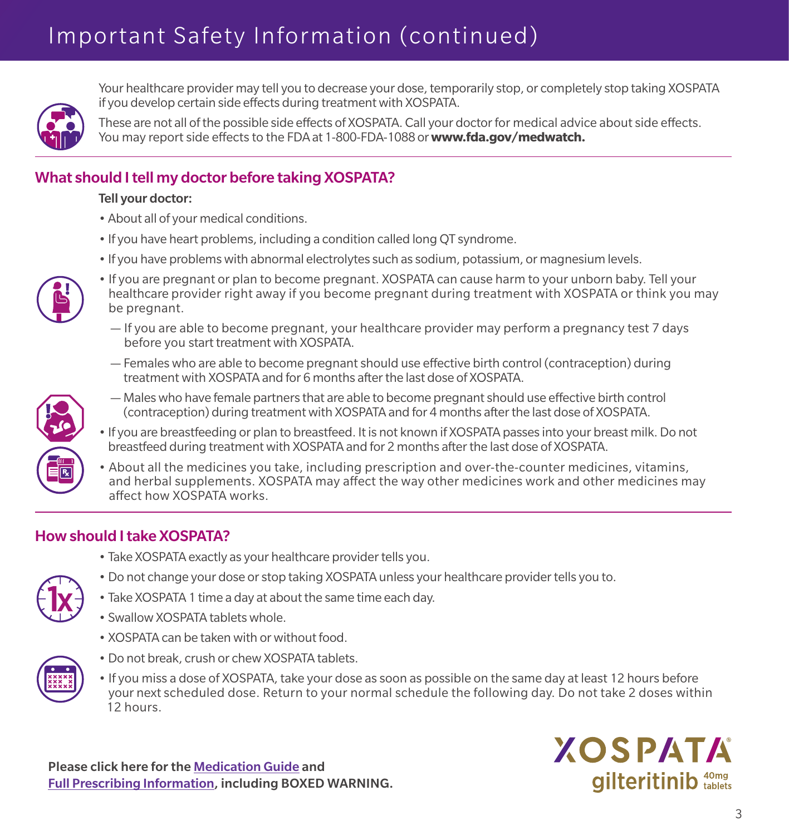# Important Safety Information (continued)



Your healthcare provider may tell you to decrease your dose, temporarily stop, or completely stop taking XOSPATA if you develop certain side effects during treatment with XOSPATA.

These are not all of the possible side effects of XOSPATA. Call your doctor for medical advice about side effects. You may report side effects to the FDA at 1-800-FDA-1088 or **www.fda.gov/medwatch.** 

#### What should I tell my doctor before taking XOSPATA?

#### Tell your doctor:

- About all of your medical conditions.
- If you have heart problems, including a condition called long QT syndrome.
- If you have problems with abnormal electrolytes such as sodium, potassium, or magnesium levels.



- If you are pregnant or plan to become pregnant. XOSPATA can cause harm to your unborn baby. Tell your healthcare provider right away if you become pregnant during treatment with XOSPATA or think you may be pregnant.
	- If you are able to become pregnant, your healthcare provider may perform a pregnancy test 7 days before you start treatment with XOSPATA.
	- Females who are able to become pregnant should use effective birth control (contraception) during treatment with XOSPATA and for 6 months after the last dose of XOSPATA.



- Males who have female partners that are able to become pregnant should use effective birth control (contraception) during treatment with XOSPATA and for 4 months after the last dose of XOSPATA.
- If you are breastfeeding or plan to breastfeed. It is not known if XOSPATA passes into your breast milk. Do not breastfeed during treatment with XOSPATA and for 2 months after the last dose of XOSPATA.
- About all the medicines you take, including prescription and over-the-counter medicines, vitamins, and herbal supplements. XOSPATA may affect the way other medicines work and other medicines may affect how XOSPATA works.

#### How should I take XOSPATA?

• Take XOSPATA exactly as your healthcare provider tells you.



- Do not change your dose or stop taking XOSPATA unless your healthcare provider tells you to.
- Take XOSPATA 1 time a day at about the same time each day.
- Swallow XOSPATA tablets whole.
- XOSPATA can be taken with or without food.



- Do not break, crush or chew XOSPATA tablets.
- If you miss a dose of XOSPATA, take your dose as soon as possible on the same day at least 12 hours before your next scheduled dose. Return to your normal schedule the following day. Do not take 2 doses within 12 hours.

Please click here for the [Medication Guide](https://astellas.us/docs/Xospata_U.S.MedicationGuide(PatientInformation).pdf) and [Full Prescribing Information](https://astellas.us/docs/xospata.pdf), including BOXED WARNING.